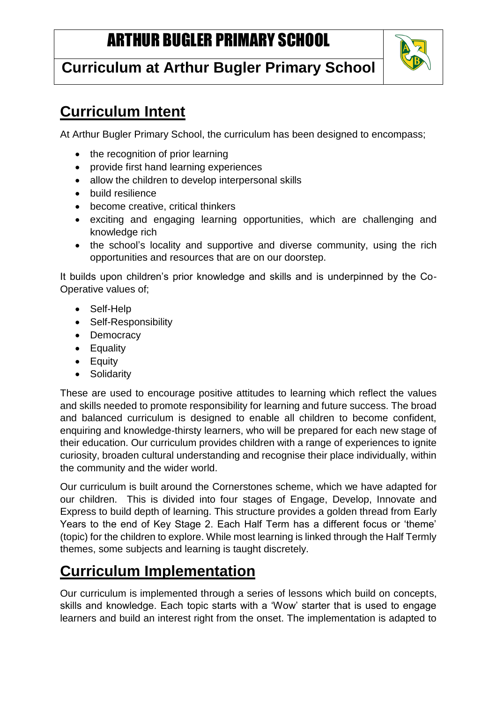# ARTHUR BUGLER PRIMARY SCHOOL

## **Curriculum at Arthur Bugler Primary School**



## **Curriculum Intent**

At Arthur Bugler Primary School, the curriculum has been designed to encompass;

- the recognition of prior learning
- provide first hand learning experiences
- allow the children to develop interpersonal skills
- build resilience
- become creative, critical thinkers
- exciting and engaging learning opportunities, which are challenging and knowledge rich
- the school's locality and supportive and diverse community, using the rich opportunities and resources that are on our doorstep.

It builds upon children's prior knowledge and skills and is underpinned by the Co-Operative values of;

- Self-Help
- Self-Responsibility
- Democracy
- Equality
- Equity
- Solidarity

These are used to encourage positive attitudes to learning which reflect the values and skills needed to promote responsibility for learning and future success. The broad and balanced curriculum is designed to enable all children to become confident, enquiring and knowledge-thirsty learners, who will be prepared for each new stage of their education. Our curriculum provides children with a range of experiences to ignite curiosity, broaden cultural understanding and recognise their place individually, within the community and the wider world.

Our curriculum is built around the Cornerstones scheme, which we have adapted for our children. This is divided into four stages of Engage, Develop, Innovate and Express to build depth of learning. This structure provides a golden thread from Early Years to the end of Key Stage 2. Each Half Term has a different focus or 'theme' (topic) for the children to explore. While most learning is linked through the Half Termly themes, some subjects and learning is taught discretely.

## **Curriculum Implementation**

Our curriculum is implemented through a series of lessons which build on concepts, skills and knowledge. Each topic starts with a 'Wow' starter that is used to engage learners and build an interest right from the onset. The implementation is adapted to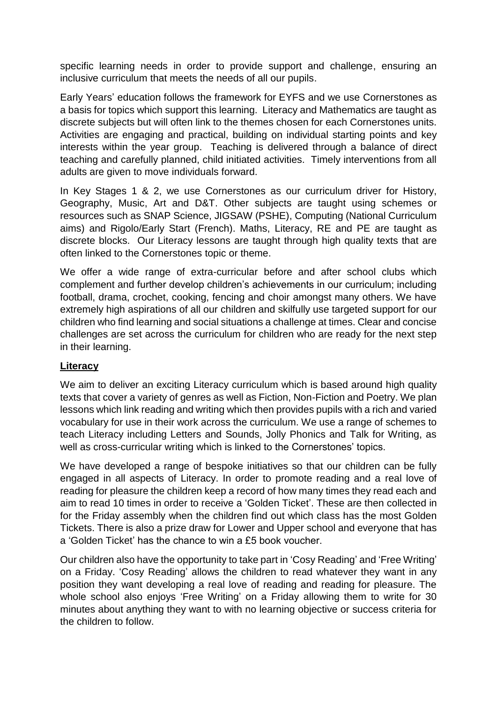specific learning needs in order to provide support and challenge, ensuring an inclusive curriculum that meets the needs of all our pupils.

Early Years' education follows the framework for EYFS and we use Cornerstones as a basis for topics which support this learning. Literacy and Mathematics are taught as discrete subjects but will often link to the themes chosen for each Cornerstones units. Activities are engaging and practical, building on individual starting points and key interests within the year group. Teaching is delivered through a balance of direct teaching and carefully planned, child initiated activities. Timely interventions from all adults are given to move individuals forward.

In Key Stages 1 & 2, we use Cornerstones as our curriculum driver for History, Geography, Music, Art and D&T. Other subjects are taught using schemes or resources such as SNAP Science, JIGSAW (PSHE), Computing (National Curriculum aims) and Rigolo/Early Start (French). Maths, Literacy, RE and PE are taught as discrete blocks. Our Literacy lessons are taught through high quality texts that are often linked to the Cornerstones topic or theme.

We offer a wide range of extra-curricular before and after school clubs which complement and further develop children's achievements in our curriculum; including football, drama, crochet, cooking, fencing and choir amongst many others. We have extremely high aspirations of all our children and skilfully use targeted support for our children who find learning and social situations a challenge at times. Clear and concise challenges are set across the curriculum for children who are ready for the next step in their learning.

#### **Literacy**

We aim to deliver an exciting Literacy curriculum which is based around high quality texts that cover a variety of genres as well as Fiction, Non-Fiction and Poetry. We plan lessons which link reading and writing which then provides pupils with a rich and varied vocabulary for use in their work across the curriculum. We use a range of schemes to teach Literacy including Letters and Sounds, Jolly Phonics and Talk for Writing, as well as cross-curricular writing which is linked to the Cornerstones' topics.

We have developed a range of bespoke initiatives so that our children can be fully engaged in all aspects of Literacy. In order to promote reading and a real love of reading for pleasure the children keep a record of how many times they read each and aim to read 10 times in order to receive a 'Golden Ticket'. These are then collected in for the Friday assembly when the children find out which class has the most Golden Tickets. There is also a prize draw for Lower and Upper school and everyone that has a 'Golden Ticket' has the chance to win a £5 book voucher.

Our children also have the opportunity to take part in 'Cosy Reading' and 'Free Writing' on a Friday. 'Cosy Reading' allows the children to read whatever they want in any position they want developing a real love of reading and reading for pleasure. The whole school also enjoys 'Free Writing' on a Friday allowing them to write for 30 minutes about anything they want to with no learning objective or success criteria for the children to follow.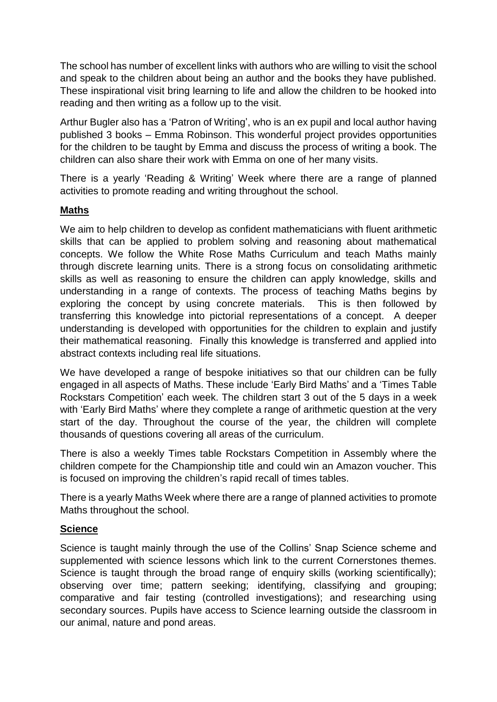The school has number of excellent links with authors who are willing to visit the school and speak to the children about being an author and the books they have published. These inspirational visit bring learning to life and allow the children to be hooked into reading and then writing as a follow up to the visit.

Arthur Bugler also has a 'Patron of Writing', who is an ex pupil and local author having published 3 books – Emma Robinson. This wonderful project provides opportunities for the children to be taught by Emma and discuss the process of writing a book. The children can also share their work with Emma on one of her many visits.

There is a yearly 'Reading & Writing' Week where there are a range of planned activities to promote reading and writing throughout the school.

#### **Maths**

We aim to help children to develop as confident mathematicians with fluent arithmetic skills that can be applied to problem solving and reasoning about mathematical concepts. We follow the White Rose Maths Curriculum and teach Maths mainly through discrete learning units. There is a strong focus on consolidating arithmetic skills as well as reasoning to ensure the children can apply knowledge, skills and understanding in a range of contexts. The process of teaching Maths begins by exploring the concept by using concrete materials. This is then followed by transferring this knowledge into pictorial representations of a concept. A deeper understanding is developed with opportunities for the children to explain and justify their mathematical reasoning. Finally this knowledge is transferred and applied into abstract contexts including real life situations.

We have developed a range of bespoke initiatives so that our children can be fully engaged in all aspects of Maths. These include 'Early Bird Maths' and a 'Times Table Rockstars Competition' each week. The children start 3 out of the 5 days in a week with 'Early Bird Maths' where they complete a range of arithmetic question at the very start of the day. Throughout the course of the year, the children will complete thousands of questions covering all areas of the curriculum.

There is also a weekly Times table Rockstars Competition in Assembly where the children compete for the Championship title and could win an Amazon voucher. This is focused on improving the children's rapid recall of times tables.

There is a yearly Maths Week where there are a range of planned activities to promote Maths throughout the school.

#### **Science**

Science is taught mainly through the use of the Collins' Snap Science scheme and supplemented with science lessons which link to the current Cornerstones themes. Science is taught through the broad range of enquiry skills (working scientifically); observing over time; pattern seeking; identifying, classifying and grouping; comparative and fair testing (controlled investigations); and researching using secondary sources. Pupils have access to Science learning outside the classroom in our animal, nature and pond areas.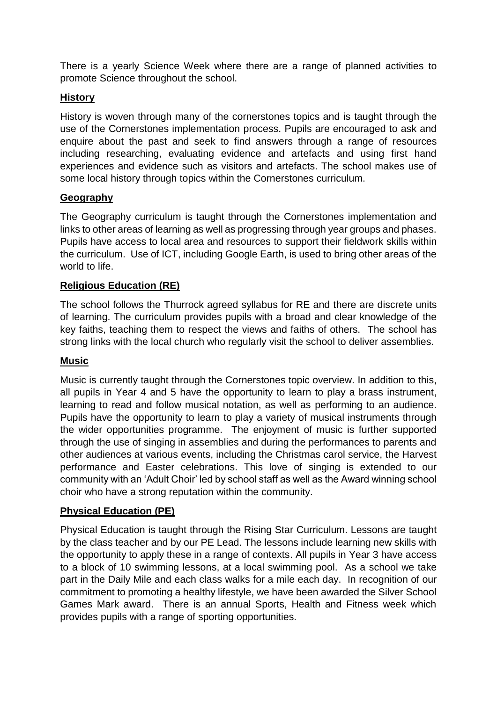There is a yearly Science Week where there are a range of planned activities to promote Science throughout the school.

#### **History**

History is woven through many of the cornerstones topics and is taught through the use of the Cornerstones implementation process. Pupils are encouraged to ask and enquire about the past and seek to find answers through a range of resources including researching, evaluating evidence and artefacts and using first hand experiences and evidence such as visitors and artefacts. The school makes use of some local history through topics within the Cornerstones curriculum.

#### **Geography**

The Geography curriculum is taught through the Cornerstones implementation and links to other areas of learning as well as progressing through year groups and phases. Pupils have access to local area and resources to support their fieldwork skills within the curriculum. Use of ICT, including Google Earth, is used to bring other areas of the world to life.

#### **Religious Education (RE)**

The school follows the Thurrock agreed syllabus for RE and there are discrete units of learning. The curriculum provides pupils with a broad and clear knowledge of the key faiths, teaching them to respect the views and faiths of others. The school has strong links with the local church who regularly visit the school to deliver assemblies.

#### **Music**

Music is currently taught through the Cornerstones topic overview. In addition to this, all pupils in Year 4 and 5 have the opportunity to learn to play a brass instrument, learning to read and follow musical notation, as well as performing to an audience. Pupils have the opportunity to learn to play a variety of musical instruments through the wider opportunities programme. The enjoyment of music is further supported through the use of singing in assemblies and during the performances to parents and other audiences at various events, including the Christmas carol service, the Harvest performance and Easter celebrations. This love of singing is extended to our community with an 'Adult Choir' led by school staff as well as the Award winning school choir who have a strong reputation within the community.

#### **Physical Education (PE)**

Physical Education is taught through the Rising Star Curriculum. Lessons are taught by the class teacher and by our PE Lead. The lessons include learning new skills with the opportunity to apply these in a range of contexts. All pupils in Year 3 have access to a block of 10 swimming lessons, at a local swimming pool. As a school we take part in the Daily Mile and each class walks for a mile each day. In recognition of our commitment to promoting a healthy lifestyle, we have been awarded the Silver School Games Mark award. There is an annual Sports, Health and Fitness week which provides pupils with a range of sporting opportunities.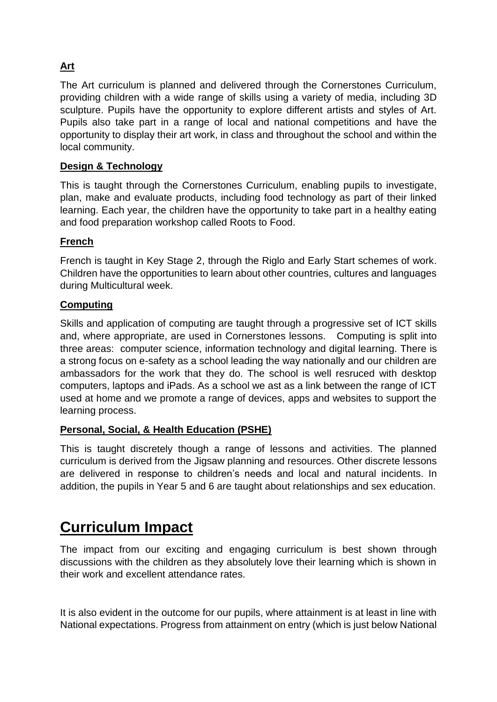### **Art**

The Art curriculum is planned and delivered through the Cornerstones Curriculum, providing children with a wide range of skills using a variety of media, including 3D sculpture. Pupils have the opportunity to explore different artists and styles of Art. Pupils also take part in a range of local and national competitions and have the opportunity to display their art work, in class and throughout the school and within the local community.

#### **Design & Technology**

This is taught through the Cornerstones Curriculum, enabling pupils to investigate, plan, make and evaluate products, including food technology as part of their linked learning. Each year, the children have the opportunity to take part in a healthy eating and food preparation workshop called Roots to Food.

#### **French**

French is taught in Key Stage 2, through the Riglo and Early Start schemes of work. Children have the opportunities to learn about other countries, cultures and languages during Multicultural week.

#### **Computing**

Skills and application of computing are taught through a progressive set of ICT skills and, where appropriate, are used in Cornerstones lessons. Computing is split into three areas: computer science, information technology and digital learning. There is a strong focus on e-safety as a school leading the way nationally and our children are ambassadors for the work that they do. The school is well resruced with desktop computers, laptops and iPads. As a school we ast as a link between the range of ICT used at home and we promote a range of devices, apps and websites to support the learning process.

#### **Personal, Social, & Health Education (PSHE)**

This is taught discretely though a range of lessons and activities. The planned curriculum is derived from the Jigsaw planning and resources. Other discrete lessons are delivered in response to children's needs and local and natural incidents. In addition, the pupils in Year 5 and 6 are taught about relationships and sex education.

### **Curriculum Impact**

The impact from our exciting and engaging curriculum is best shown through discussions with the children as they absolutely love their learning which is shown in their work and excellent attendance rates.

It is also evident in the outcome for our pupils, where attainment is at least in line with National expectations. Progress from attainment on entry (which is just below National